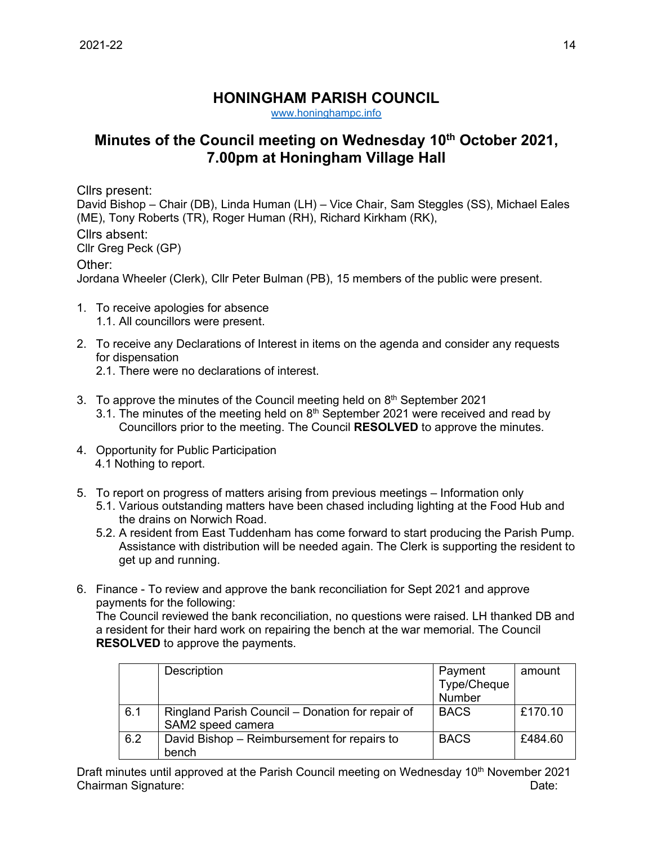## **HONINGHAM PARISH COUNCIL**

[www.honinghampc.info](http://www.honinghampc.info/)

## **Minutes of the Council meeting on Wednesday 10th October 2021, 7.00pm at Honingham Village Hall**

Cllrs present:

David Bishop – Chair (DB), Linda Human (LH) – Vice Chair, Sam Steggles (SS), Michael Eales (ME), Tony Roberts (TR), Roger Human (RH), Richard Kirkham (RK), Cllrs absent: Cllr Greg Peck (GP) Other: Jordana Wheeler (Clerk), Cllr Peter Bulman (PB), 15 members of the public were present.

- 1. To receive apologies for absence 1.1. All councillors were present.
- 2. To receive any Declarations of Interest in items on the agenda and consider any requests for dispensation
	- 2.1. There were no declarations of interest.
- 3. To approve the minutes of the Council meeting held on  $8<sup>th</sup>$  September 2021
	- 3.1. The minutes of the meeting held on  $8<sup>th</sup>$  September 2021 were received and read by Councillors prior to the meeting. The Council **RESOLVED** to approve the minutes.
- 4. Opportunity for Public Participation 4.1 Nothing to report.
- 5. To report on progress of matters arising from previous meetings Information only
	- 5.1. Various outstanding matters have been chased including lighting at the Food Hub and the drains on Norwich Road.
	- 5.2. A resident from East Tuddenham has come forward to start producing the Parish Pump. Assistance with distribution will be needed again. The Clerk is supporting the resident to get up and running.
- 6. Finance To review and approve the bank reconciliation for Sept 2021 and approve payments for the following:

The Council reviewed the bank reconciliation, no questions were raised. LH thanked DB and a resident for their hard work on repairing the bench at the war memorial. The Council **RESOLVED** to approve the payments.

|     | Description                                                           | Payment<br>Type/Cheque<br>Number | amount  |
|-----|-----------------------------------------------------------------------|----------------------------------|---------|
| 6.1 | Ringland Parish Council - Donation for repair of<br>SAM2 speed camera | <b>BACS</b>                      | £170.10 |
| 6.2 | David Bishop – Reimbursement for repairs to<br>bench                  | <b>BACS</b>                      | £484.60 |

Draft minutes until approved at the Parish Council meeting on Wednesday 10<sup>th</sup> November 2021 Chairman Signature: Date: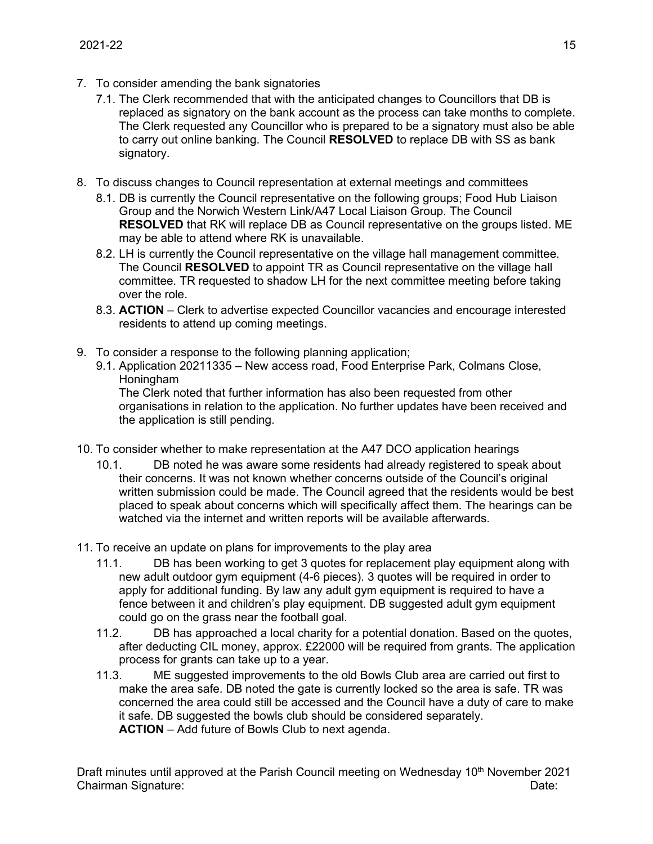- 7. To consider amending the bank signatories
	- 7.1. The Clerk recommended that with the anticipated changes to Councillors that DB is replaced as signatory on the bank account as the process can take months to complete. The Clerk requested any Councillor who is prepared to be a signatory must also be able to carry out online banking. The Council **RESOLVED** to replace DB with SS as bank signatory.
- 8. To discuss changes to Council representation at external meetings and committees
	- 8.1. DB is currently the Council representative on the following groups; Food Hub Liaison Group and the Norwich Western Link/A47 Local Liaison Group. The Council **RESOLVED** that RK will replace DB as Council representative on the groups listed. ME may be able to attend where RK is unavailable.
	- 8.2. LH is currently the Council representative on the village hall management committee. The Council **RESOLVED** to appoint TR as Council representative on the village hall committee. TR requested to shadow LH for the next committee meeting before taking over the role.
	- 8.3. **ACTION** Clerk to advertise expected Councillor vacancies and encourage interested residents to attend up coming meetings.
- 9. To consider a response to the following planning application;
	- 9.1. Application 20211335 New access road, Food Enterprise Park, Colmans Close, **Honingham**

The Clerk noted that further information has also been requested from other organisations in relation to the application. No further updates have been received and the application is still pending.

- 10. To consider whether to make representation at the A47 DCO application hearings
	- 10.1. DB noted he was aware some residents had already registered to speak about their concerns. It was not known whether concerns outside of the Council's original written submission could be made. The Council agreed that the residents would be best placed to speak about concerns which will specifically affect them. The hearings can be watched via the internet and written reports will be available afterwards.
- 11. To receive an update on plans for improvements to the play area
	- 11.1. DB has been working to get 3 quotes for replacement play equipment along with new adult outdoor gym equipment (4-6 pieces). 3 quotes will be required in order to apply for additional funding. By law any adult gym equipment is required to have a fence between it and children's play equipment. DB suggested adult gym equipment could go on the grass near the football goal.
	- 11.2. DB has approached a local charity for a potential donation. Based on the quotes, after deducting CIL money, approx. £22000 will be required from grants. The application process for grants can take up to a year.
	- 11.3. ME suggested improvements to the old Bowls Club area are carried out first to make the area safe. DB noted the gate is currently locked so the area is safe. TR was concerned the area could still be accessed and the Council have a duty of care to make it safe. DB suggested the bowls club should be considered separately. **ACTION** – Add future of Bowls Club to next agenda.

Draft minutes until approved at the Parish Council meeting on Wednesday 10<sup>th</sup> November 2021 Chairman Signature: Date: Date: Date: Date: Date: Date: Date: Date: Date: Date: Date: Date: Date: Date: Date: Date: Date: Date: Date: Date: Date: Date: Date: Date: Date: Date: Date: Date: Date: Date: Date: Date: Date: Date